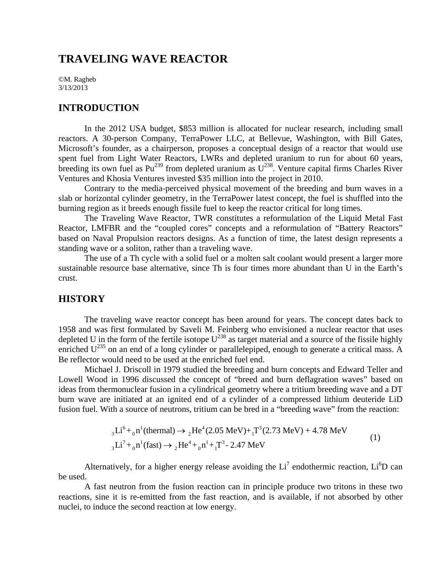# **TRAVELING WAVE REACTOR**

©M. Ragheb 3/13/2013

## **INTRODUCTION**

In the 2012 USA budget, \$853 million is allocated for nuclear research, including small reactors. A 30-person Company, TerraPower LLC, at Bellevue, Washington, with Bill Gates, Microsoft's founder, as a chairperson, proposes a conceptual design of a reactor that would use spent fuel from Light Water Reactors, LWRs and depleted uranium to run for about 60 years, breeding its own fuel as  $Pu^{239}$  from depleted uranium as  $U^{238}$ . Venture capital firms Charles River Ventures and Khosia Ventures invested \$35 million into the project in 2010.

Contrary to the media-perceived physical movement of the breeding and burn waves in a slab or horizontal cylinder geometry, in the TerraPower latest concept, the fuel is shuffled into the burning region as it breeds enough fissile fuel to keep the reactor critical for long times.

The Traveling Wave Reactor, TWR constitutes a reformulation of the Liquid Metal Fast Reactor, LMFBR and the "coupled cores" concepts and a reformulation of "Battery Reactors" based on Naval Propulsion reactors designs. As a function of time, the latest design represents a standing wave or a soliton, rather than a traveling wave.

The use of a Th cycle with a solid fuel or a molten salt coolant would present a larger more sustainable resource base alternative, since Th is four times more abundant than U in the Earth's crust.

# **HISTORY**

The traveling wave reactor concept has been around for years. The concept dates back to 1958 and was first formulated by Saveli M. Feinberg who envisioned a nuclear reactor that uses depleted U in the form of the fertile isotope  $U^{238}$  as target material and a source of the fissile highly enriched  $U^{235}$  on an end of a long cylinder or parallelepiped, enough to generate a critical mass. A Be reflector would need to be used at the enriched fuel end.

Michael J. Driscoll in 1979 studied the breeding and burn concepts and Edward Teller and Lowell Wood in 1996 discussed the concept of "breed and burn deflagration waves" based on ideas from thermonuclear fusion in a cylindrical geometry where a tritium breeding wave and a DT burn wave are initiated at an ignited end of a cylinder of a compressed lithium deuteride LiD fusion fuel. With a source of neutrons, tritium can be bred in a "breeding wave" from the reaction:

$$
{}_{3}\text{Li}^{6} + {}_{0}\text{n}^{1}(\text{thermal}) \rightarrow {}_{2}\text{He}^{4}(2.05 \text{ MeV}) + {}_{1}\text{T}^{3}(2.73 \text{ MeV}) + 4.78 \text{ MeV}
$$
  

$$
{}_{3}\text{Li}^{7} + {}_{0}\text{n}^{1}(\text{fast}) \rightarrow {}_{2}\text{He}^{4} + {}_{0}\text{n}^{1} + {}_{1}\text{T}^{3} - 2.47 \text{ MeV}
$$
 (1)

Alternatively, for a higher energy release avoiding the  $Li<sup>7</sup>$  endothermic reaction,  $Li<sup>6</sup>D$  can be used.

A fast neutron from the fusion reaction can in principle produce two tritons in these two reactions, sine it is re-emitted from the fast reaction, and is available, if not absorbed by other nuclei, to induce the second reaction at low energy.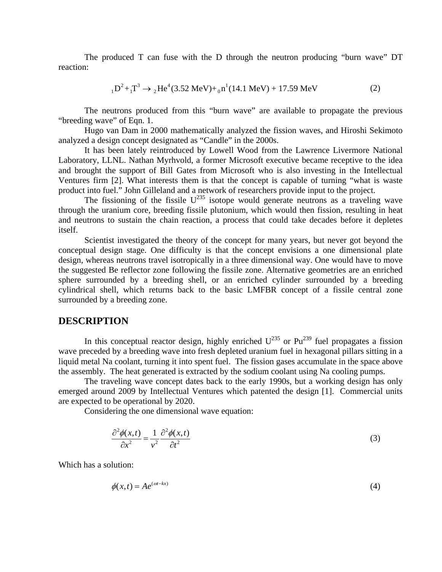The produced T can fuse with the D through the neutron producing "burn wave" DT reaction:

$$
{}_{1}D^{2} + {}_{1}T^{3} \rightarrow {}_{2}He^{4}(3.52 \text{ MeV}) + {}_{0}n^{1}(14.1 \text{ MeV}) + 17.59 \text{ MeV}
$$
 (2)

The neutrons produced from this "burn wave" are available to propagate the previous "breeding wave" of Eqn. 1.

Hugo van Dam in 2000 mathematically analyzed the fission waves, and Hiroshi Sekimoto analyzed a design concept designated as "Candle" in the 2000s.

It has been lately reintroduced by Lowell Wood from the Lawrence Livermore National Laboratory, LLNL. Nathan Myrhvold, a former Microsoft executive became receptive to the idea and brought the support of Bill Gates from Microsoft who is also investing in the Intellectual Ventures firm [2]. What interests them is that the concept is capable of turning "what is waste product into fuel." John Gilleland and a network of researchers provide input to the project.

The fissioning of the fissile  $U^{235}$  isotope would generate neutrons as a traveling wave through the uranium core, breeding fissile plutonium, which would then fission, resulting in heat and neutrons to sustain the chain reaction, a process that could take decades before it depletes itself.

Scientist investigated the theory of the concept for many years, but never got beyond the conceptual design stage. One difficulty is that the concept envisions a one dimensional plate design, whereas neutrons travel isotropically in a three dimensional way. One would have to move the suggested Be reflector zone following the fissile zone. Alternative geometries are an enriched sphere surrounded by a breeding shell, or an enriched cylinder surrounded by a breeding cylindrical shell, which returns back to the basic LMFBR concept of a fissile central zone surrounded by a breeding zone.

### **DESCRIPTION**

In this conceptual reactor design, highly enriched  $U^{235}$  or Pu<sup>239</sup> fuel propagates a fission wave preceded by a breeding wave into fresh depleted uranium fuel in hexagonal pillars sitting in a liquid metal Na coolant, turning it into spent fuel. The fission gases accumulate in the space above the assembly. The heat generated is extracted by the sodium coolant using Na cooling pumps.

The traveling wave concept dates back to the early 1990s, but a working design has only emerged around 2009 by Intellectual Ventures which patented the design [1]. Commercial units are expected to be operational by 2020.

Considering the one dimensional wave equation:

$$
\frac{\partial^2 \phi(x,t)}{\partial x^2} = \frac{1}{v^2} \frac{\partial^2 \phi(x,t)}{\partial t^2}
$$
(3)

Which has a solution:

$$
\phi(x,t) = Ae^{(\omega t - kx)}\tag{4}
$$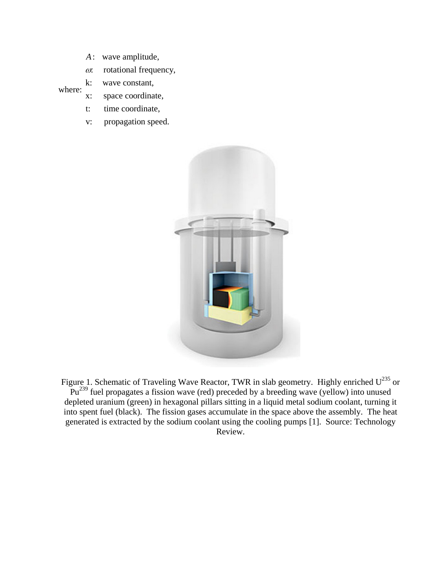- wave amplitude, *A*
- : rotational frequency, ω

#### where: k: wave constant,

- x: space coordinate,
- t: time coordinate,
- v: propagation speed.



Figure 1. Schematic of Traveling Wave Reactor, TWR in slab geometry. Highly enriched  $U^{235}$  or  $Pu^{239}$  fuel propagates a fission wave (red) preceded by a breeding wave (yellow) into unused depleted uranium (green) in hexagonal pillars sitting in a liquid metal sodium coolant, turning it into spent fuel (black). The fission gases accumulate in the space above the assembly. The heat generated is extracted by the sodium coolant using the cooling pumps [1]. Source: Technology Review.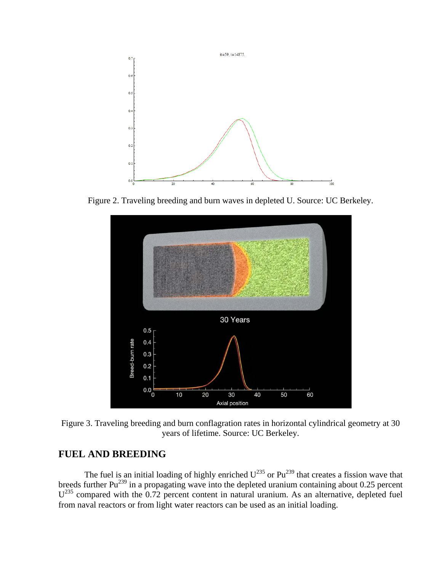

Figure 2. Traveling breeding and burn waves in depleted U. Source: UC Berkeley.



Figure 3. Traveling breeding and burn conflagration rates in horizontal cylindrical geometry at 30 years of lifetime. Source: UC Berkeley.

# **FUEL AND BREEDING**

The fuel is an initial loading of highly enriched  $U^{235}$  or  $Pu^{239}$  that creates a fission wave that breeds further  $Pu^{239}$  in a propagating wave into the depleted uranium containing about 0.25 percent  $U^{235}$  compared with the 0.72 percent content in natural uranium. As an alternative, depleted fuel from naval reactors or from light water reactors can be used as an initial loading.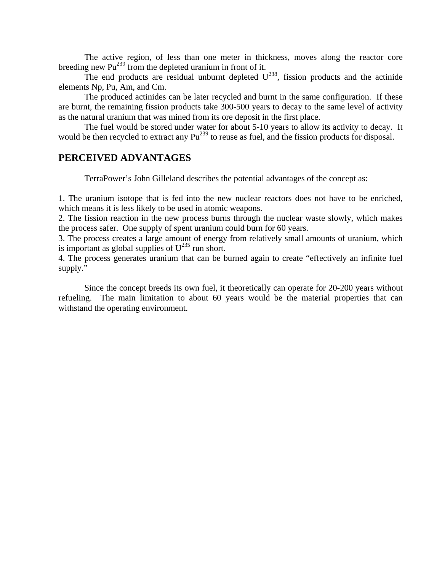The active region, of less than one meter in thickness, moves along the reactor core breeding new  $Pu^{239}$  from the depleted uranium in front of it.

The end products are residual unburnt depleted  $U^{238}$ , fission products and the actinide elements Np, Pu, Am, and Cm.

The produced actinides can be later recycled and burnt in the same configuration. If these are burnt, the remaining fission products take 300-500 years to decay to the same level of activity as the natural uranium that was mined from its ore deposit in the first place.

The fuel would be stored under water for about 5-10 years to allow its activity to decay. It would be then recycled to extract any  $Pu^{239}$  to reuse as fuel, and the fission products for disposal.

## **PERCEIVED ADVANTAGES**

TerraPower's John Gilleland describes the potential advantages of the concept as:

1. The uranium isotope that is fed into the new nuclear reactors does not have to be enriched, which means it is less likely to be used in atomic weapons.

2. The fission reaction in the new process burns through the nuclear waste slowly, which makes the process safer. One supply of spent uranium could burn for 60 years.

3. The process creates a large amount of energy from relatively small amounts of uranium, which is important as global supplies of  $U^{235}$  run short.

4. The process generates uranium that can be burned again to create "effectively an infinite fuel supply."

Since the concept breeds its own fuel, it theoretically can operate for 20-200 years without refueling. The main limitation to about 60 years would be the material properties that can withstand the operating environment.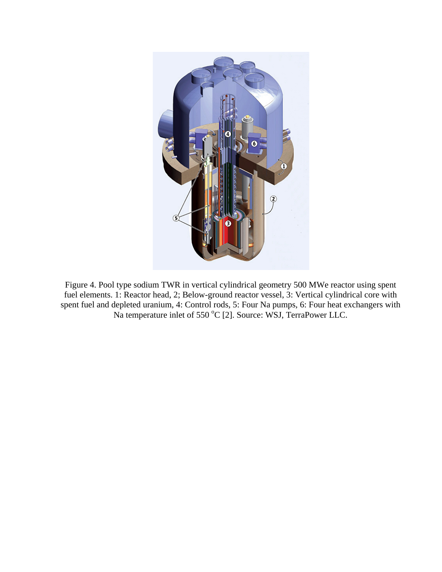

Figure 4. Pool type sodium TWR in vertical cylindrical geometry 500 MWe reactor using spent fuel elements. 1: Reactor head, 2; Below-ground reactor vessel, 3: Vertical cylindrical core with spent fuel and depleted uranium, 4: Control rods, 5: Four Na pumps, 6: Four heat exchangers with Na temperature inlet of 550 °C [2]. Source: WSJ, TerraPower LLC.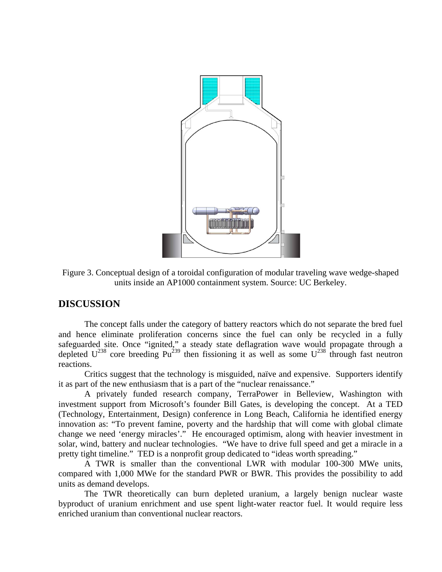

Figure 3. Conceptual design of a toroidal configuration of modular traveling wave wedge-shaped units inside an AP1000 containment system. Source: UC Berkeley.

## **DISCUSSION**

The concept falls under the category of battery reactors which do not separate the bred fuel and hence eliminate proliferation concerns since the fuel can only be recycled in a fully safeguarded site. Once "ignited," a steady state deflagration wave would propagate through a depleted  $U^{238}$  core breeding Pu<sup>239</sup> then fissioning it as well as some  $U^{238}$  through fast neutron reactions.

Critics suggest that the technology is misguided, naïve and expensive. Supporters identify it as part of the new enthusiasm that is a part of the "nuclear renaissance."

A privately funded research company, TerraPower in Belleview, Washington with investment support from Microsoft's founder Bill Gates, is developing the concept. At a TED (Technology, Entertainment, Design) conference in Long Beach, California he identified energy innovation as: "To prevent famine, poverty and the hardship that will come with global climate change we need 'energy miracles'." He encouraged optimism, along with heavier investment in solar, wind, battery and nuclear technologies. "We have to drive full speed and get a miracle in a pretty tight timeline." TED is a nonprofit group dedicated to "ideas worth spreading."

A TWR is smaller than the conventional LWR with modular 100-300 MWe units, compared with 1,000 MWe for the standard PWR or BWR. This provides the possibility to add units as demand develops.

The TWR theoretically can burn depleted uranium, a largely benign nuclear waste byproduct of uranium enrichment and use spent light-water reactor fuel. It would require less enriched uranium than conventional nuclear reactors.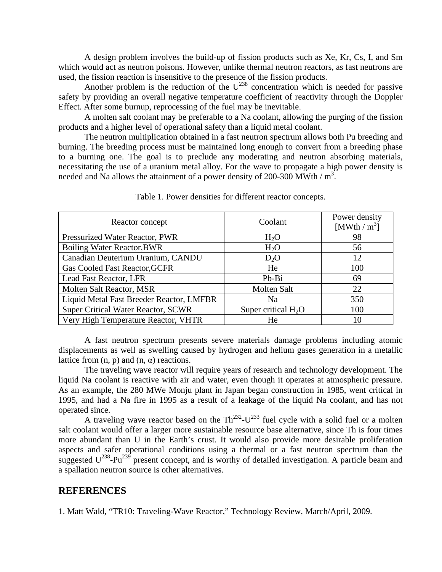A design problem involves the build-up of fission products such as Xe, Kr, Cs, I, and Sm which would act as neutron poisons. However, unlike thermal neutron reactors, as fast neutrons are used, the fission reaction is insensitive to the presence of the fission products.

Another problem is the reduction of the  $U^{238}$  concentration which is needed for passive safety by providing an overall negative temperature coefficient of reactivity through the Doppler Effect. After some burnup, reprocessing of the fuel may be inevitable.

A molten salt coolant may be preferable to a Na coolant, allowing the purging of the fission products and a higher level of operational safety than a liquid metal coolant.

The neutron multiplication obtained in a fast neutron spectrum allows both Pu breeding and burning. The breeding process must be maintained long enough to convert from a breeding phase to a burning one. The goal is to preclude any moderating and neutron absorbing materials, necessitating the use of a uranium metal alloy. For the wave to propagate a high power density is needed and Na allows the attainment of a power density of 200-300 MWth  $/m<sup>3</sup>$ .

| Reactor concept                           | Coolant               | Power density<br>[MWth / $m^3$ ] |
|-------------------------------------------|-----------------------|----------------------------------|
| Pressurized Water Reactor, PWR            | $H_2O$                | 98                               |
| <b>Boiling Water Reactor, BWR</b>         | $H_2O$                | 56                               |
| Canadian Deuterium Uranium, CANDU         | $D_2O$                | 12                               |
| <b>Gas Cooled Fast Reactor, GCFR</b>      | He                    | 100                              |
| Lead Fast Reactor, LFR                    | Pb-Bi                 | 69                               |
| Molten Salt Reactor, MSR                  | Molten Salt           | 22                               |
| Liquid Metal Fast Breeder Reactor, LMFBR  | Na                    | 350                              |
| <b>Super Critical Water Reactor, SCWR</b> | Super critical $H_2O$ | 100                              |
| Very High Temperature Reactor, VHTR       | He                    | 10                               |

Table 1. Power densities for different reactor concepts.

A fast neutron spectrum presents severe materials damage problems including atomic displacements as well as swelling caused by hydrogen and helium gases generation in a metallic lattice from (n, p) and (n, α) reactions.

The traveling wave reactor will require years of research and technology development. The liquid Na coolant is reactive with air and water, even though it operates at atmospheric pressure. As an example, the 280 MWe Monju plant in Japan began construction in 1985, went critical in 1995, and had a Na fire in 1995 as a result of a leakage of the liquid Na coolant, and has not operated since.

A traveling wave reactor based on the  $Th^{232}$ - $U^{233}$  fuel cycle with a solid fuel or a molten salt coolant would offer a larger more sustainable resource base alternative, since Th is four times more abundant than U in the Earth's crust. It would also provide more desirable proliferation aspects and safer operational conditions using a thermal or a fast neutron spectrum than the suggested  $U^{238}$ -Pu<sup>239</sup> present concept, and is worthy of detailed investigation. A particle beam and a spallation neutron source is other alternatives.

### **REFERENCES**

1. Matt Wald, "TR10: Traveling-Wave Reactor," Technology Review, March/April, 2009.